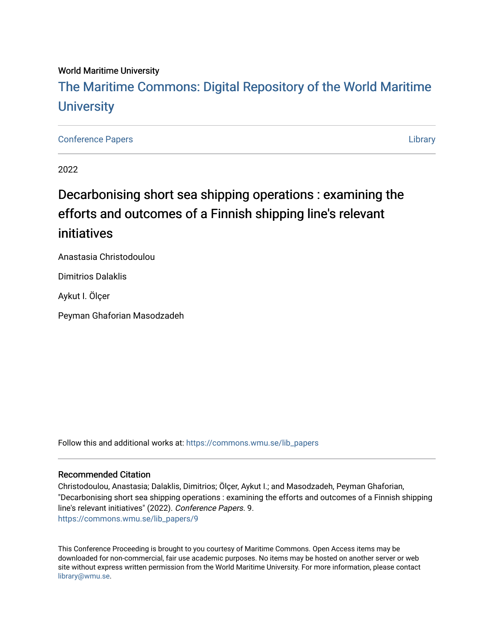## World Maritime University [The Maritime Commons: Digital Repository of the World Maritime](https://commons.wmu.se/)  **University**

#### [Conference Papers](https://commons.wmu.se/lib_papers) [Library](https://commons.wmu.se/library)

2022

# Decarbonising short sea shipping operations : examining the efforts and outcomes of a Finnish shipping line's relevant initiatives

Anastasia Christodoulou

Dimitrios Dalaklis

Aykut I. Ölçer

Peyman Ghaforian Masodzadeh

Follow this and additional works at: [https://commons.wmu.se/lib\\_papers](https://commons.wmu.se/lib_papers?utm_source=commons.wmu.se%2Flib_papers%2F9&utm_medium=PDF&utm_campaign=PDFCoverPages)

#### Recommended Citation

Christodoulou, Anastasia; Dalaklis, Dimitrios; Ölçer, Aykut I.; and Masodzadeh, Peyman Ghaforian, "Decarbonising short sea shipping operations : examining the efforts and outcomes of a Finnish shipping line's relevant initiatives" (2022). Conference Papers. 9. [https://commons.wmu.se/lib\\_papers/9](https://commons.wmu.se/lib_papers/9?utm_source=commons.wmu.se%2Flib_papers%2F9&utm_medium=PDF&utm_campaign=PDFCoverPages) 

This Conference Proceeding is brought to you courtesy of Maritime Commons. Open Access items may be downloaded for non-commercial, fair use academic purposes. No items may be hosted on another server or web site without express written permission from the World Maritime University. For more information, please contact [library@wmu.se](mailto:library@wmu.edu).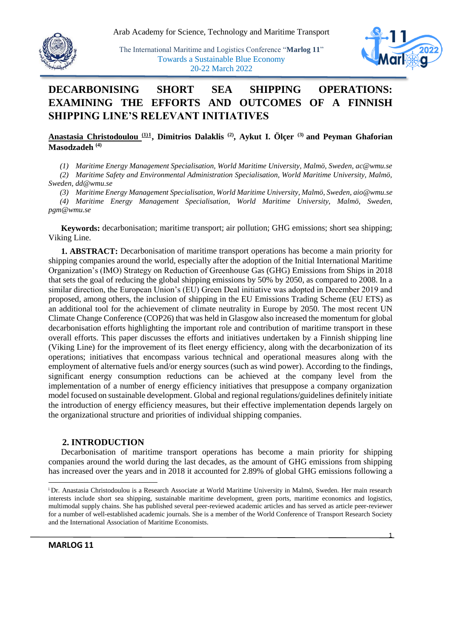

*pgm@wmu.se*

The International Maritime and Logistics Conference "**Marlog 11**" Towards a Sustainable Blue Economy 20-22 March 2022



### **DECARBONISING SHORT SEA SHIPPING OPERATIONS: EXAMINING THE EFFORTS AND OUTCOMES OF A FINNISH SHIPPING LINE'S RELEVANT INITIATIVES**

#### **Anastasia Christodoulou (1)1 , Dimitrios Dalaklis (2), Aykut I. Ölçer (3) and Peyman Ghaforian Masodzadeh (4)**

*(1) Maritime Energy Management Specialisation, World Maritime University, Malmö, Sweden, ac@wmu.se*

*(2) Maritime Safety and Environmental Administration Specialisation, World Maritime University, Malmö, Sweden, dd@wmu.se*

*(3) Maritime Energy Management Specialisation, World Maritime University, Malmö, Sweden, aio@wmu.se (4) Maritime Energy Management Specialisation, World Maritime University, Malmö, Sweden,* 

**Keywords:** decarbonisation; maritime transport; air pollution; GHG emissions; short sea shipping; Viking Line.

**1. ABSTRACT:** Decarbonisation of maritime transport operations has become a main priority for shipping companies around the world, especially after the adoption of the Initial International Maritime Organization's (IMO) Strategy on Reduction of Greenhouse Gas (GHG) Emissions from Ships in 2018 that sets the goal of reducing the global shipping emissions by 50% by 2050, as compared to 2008. In a similar direction, the European Union's (EU) Green Deal initiative was adopted in December 2019 and proposed, among others, the inclusion of shipping in the EU Emissions Trading Scheme (EU ETS) as an additional tool for the achievement of climate neutrality in Europe by 2050. The most recent UN Climate Change Conference (COP26) that was held in Glasgow also increased the momentum for global decarbonisation efforts highlighting the important role and contribution of maritime transport in these overall efforts. This paper discusses the efforts and initiatives undertaken by a Finnish shipping line (Viking Line) for the improvement of its fleet energy efficiency, along with the decarbonization of its operations; initiatives that encompass various technical and operational measures along with the employment of alternative fuels and/or energy sources (such as wind power). According to the findings, significant energy consumption reductions can be achieved at the company level from the implementation of a number of energy efficiency initiatives that presuppose a company organization model focused on sustainable development. Global and regional regulations/guidelines definitely initiate the introduction of energy efficiency measures, but their effective implementation depends largely on the organizational structure and priorities of individual shipping companies.

#### **2. INTRODUCTION**

Decarbonisation of maritime transport operations has become a main priority for shipping companies around the world during the last decades, as the amount of GHG emissions from shipping has increased over the years and in 2018 it accounted for 2.89% of global GHG emissions following a

-

<sup>&</sup>lt;sup>i</sup>Dr. Anastasia Christodoulou is a Research Associate at World Maritime University in Malmö, Sweden. Her main research interests include short sea shipping, sustainable maritime development, green ports, maritime economics and logistics, multimodal supply chains. She has published several peer-reviewed academic articles and has served as article peer-reviewer for a number of well-established academic journals. She is a member of the World Conference of Transport Research Society and the International Association of Maritime Economists.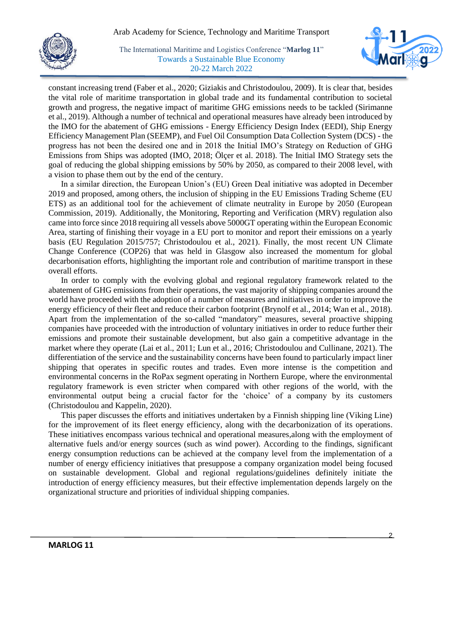



constant increasing trend (Faber et al., 2020; Giziakis and Christodoulou, 2009). It is clear that, besides the vital role of maritime transportation in global trade and its fundamental contribution to societal growth and progress, the negative impact of maritime GHG emissions needs to be tackled (Sirimanne et al., 2019). Although a number of technical and operational measures have already been introduced by the IMO for the abatement of GHG emissions - Energy Efficiency Design Index (EEDI), Ship Energy Efficiency Management Plan (SEEMP), and Fuel Oil Consumption Data Collection System (DCS) - the progress has not been the desired one and in 2018 the Initial IMO's Strategy on Reduction of GHG Emissions from Ships was adopted (IMO, 2018; Ölçer et al. 2018). The Initial IMO Strategy sets the goal of reducing the global shipping emissions by 50% by 2050, as compared to their 2008 level, with a vision to phase them out by the end of the century.

In a similar direction, the European Union's (EU) Green Deal initiative was adopted in December 2019 and proposed, among others, the inclusion of shipping in the EU Emissions Trading Scheme (EU ETS) as an additional tool for the achievement of climate neutrality in Europe by 2050 (European Commission, 2019). Additionally, the Monitoring, Reporting and Verification (MRV) regulation also came into force since 2018 requiring all vessels above 5000GT operating within the European Economic Area, starting of finishing their voyage in a EU port to monitor and report their emissions on a yearly basis (EU Regulation 2015/757; Christodoulou et al., 2021). Finally, the most recent UN Climate Change Conference (COP26) that was held in Glasgow also increased the momentum for global decarbonisation efforts, highlighting the important role and contribution of maritime transport in these overall efforts.

In order to comply with the evolving global and regional regulatory framework related to the abatement of GHG emissions from their operations, the vast majority of shipping companies around the world have proceeded with the adoption of a number of measures and initiatives in order to improve the energy efficiency of their fleet and reduce their carbon footprint (Brynolf et al., 2014; Wan et al., 2018). Apart from the implementation of the so-called "mandatory" measures, several proactive shipping companies have proceeded with the introduction of voluntary initiatives in order to reduce further their emissions and promote their sustainable development, but also gain a competitive advantage in the market where they operate (Lai et al., 2011; Lun et al., 2016; Christodoulou and Cullinane, 2021). The differentiation of the service and the sustainability concerns have been found to particularly impact liner shipping that operates in specific routes and trades. Even more intense is the competition and environmental concerns in the RoPax segment operating in Northern Europe, where the environmental regulatory framework is even stricter when compared with other regions of the world, with the environmental output being a crucial factor for the 'choice' of a company by its customers (Christodoulou and Kappelin, 2020).

This paper discusses the efforts and initiatives undertaken by a Finnish shipping line (Viking Line) for the improvement of its fleet energy efficiency, along with the decarbonization of its operations. These initiatives encompass various technical and operational measures,along with the employment of alternative fuels and/or energy sources (such as wind power). According to the findings, significant energy consumption reductions can be achieved at the company level from the implementation of a number of energy efficiency initiatives that presuppose a company organization model being focused on sustainable development. Global and regional regulations/guidelines definitely initiate the introduction of energy efficiency measures, but their effective implementation depends largely on the organizational structure and priorities of individual shipping companies.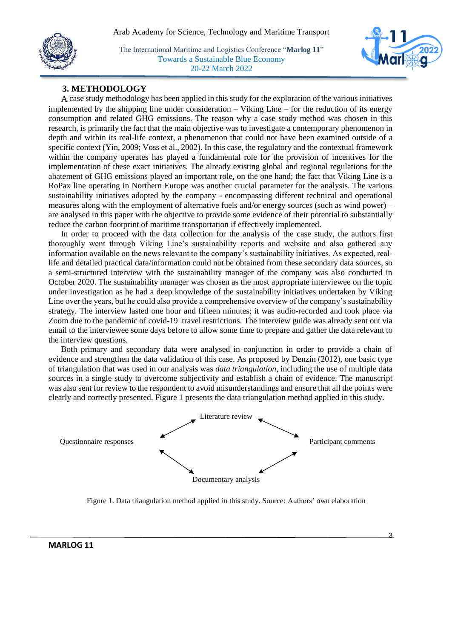



#### **3. METHODOLOGY**

A case study methodology has been applied in this study for the exploration of the various initiatives implemented by the shipping line under consideration  $-$  Viking Line  $-$  for the reduction of its energy consumption and related GHG emissions. The reason why a case study method was chosen in this research, is primarily the fact that the main objective was to investigate a contemporary phenomenon in depth and within its real-life context, a phenomenon that could not have been examined outside of a specific context (Yin, 2009; Voss et al., 2002). In this case, the regulatory and the contextual framework within the company operates has played a fundamental role for the provision of incentives for the implementation of these exact initiatives. The already existing global and regional regulations for the abatement of GHG emissions played an important role, on the one hand; the fact that Viking Line is a RoPax line operating in Northern Europe was another crucial parameter for the analysis. The various sustainability initiatives adopted by the company - encompassing different technical and operational measures along with the employment of alternative fuels and/or energy sources (such as wind power) – are analysed in this paper with the objective to provide some evidence of their potential to substantially reduce the carbon footprint of maritime transportation if effectively implemented.

In order to proceed with the data collection for the analysis of the case study, the authors first thoroughly went through Viking Line's sustainability reports and website and also gathered any information available on the news relevant to the company's sustainability initiatives. As expected, reallife and detailed practical data/information could not be obtained from these secondary data sources, so a semi-structured interview with the sustainability manager of the company was also conducted in October 2020. The sustainability manager was chosen as the most appropriate interviewee on the topic under investigation as he had a deep knowledge of the sustainability initiatives undertaken by Viking Line over the years, but he could also provide a comprehensive overview of the company's sustainability strategy. The interview lasted one hour and fifteen minutes; it was audio-recorded and took place via Zoom due to the pandemic of covid-19 travel restrictions. The interview guide was already sent out via email to the interviewee some days before to allow some time to prepare and gather the data relevant to the interview questions.

Both primary and secondary data were analysed in conjunction in order to provide a chain of evidence and strengthen the data validation of this case. As proposed by Denzin (2012), one basic type of triangulation that was used in our analysis was *data triangulation*, including the use of multiple data sources in a single study to overcome subjectivity and establish a chain of evidence. The manuscript was also sent for review to the respondent to avoid misunderstandings and ensure that all the points were clearly and correctly presented. Figure 1 presents the data triangulation method applied in this study.



Figure 1. Data triangulation method applied in this study. Source: Authors' own elaboration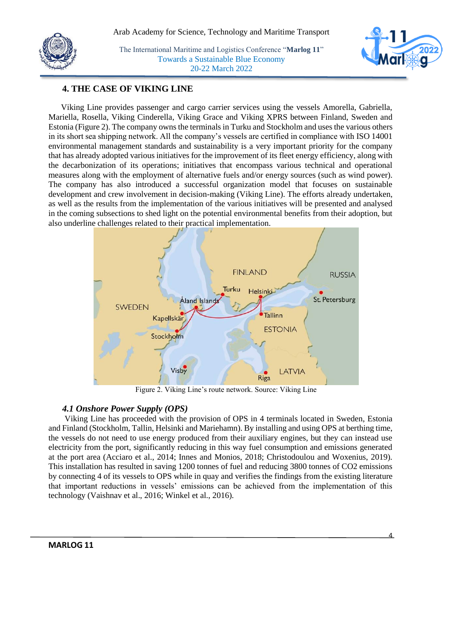

#### **4. THE CASE OF VIKING LINE**

Viking Line provides passenger and cargo carrier services using the vessels Amorella, Gabriella, Mariella, Rosella, Viking Cinderella, Viking Grace and Viking XPRS between Finland, Sweden and Estonia (Figure 2). The company owns the terminals in Turku and Stockholm and uses the various others in its short sea shipping network. All the company's vessels are certified in compliance with ISO 14001 environmental management standards and sustainability is a very important priority for the company that has already adopted various initiatives for the improvement of its fleet energy efficiency, along with the decarbonization of its operations; initiatives that encompass various technical and operational measures along with the employment of alternative fuels and/or energy sources (such as wind power). The company has also introduced a successful organization model that focuses on sustainable development and crew involvement in decision-making (Viking Line). The efforts already undertaken, as well as the results from the implementation of the various initiatives will be presented and analysed in the coming subsections to shed light on the potential environmental benefits from their adoption, but also underline challenges related to their practical implementation.



Figure 2. Viking Line's route network. Source: Viking Line

#### *4.1 Onshore Power Supply (OPS)*

Viking Line has proceeded with the provision of OPS in 4 terminals located in Sweden, Estonia and Finland (Stockholm, Tallin, Helsinki and Mariehamn). By installing and using OPS at berthing time, the vessels do not need to use energy produced from their auxiliary engines, but they can instead use electricity from the port, significantly reducing in this way fuel consumption and emissions generated at the port area (Acciaro et al., 2014; Innes and Monios, 2018; Christodoulou and Woxenius, 2019). This installation has resulted in saving 1200 tonnes of fuel and reducing 3800 tonnes of CO2 emissions by connecting 4 of its vessels to OPS while in quay and verifies the findings from the existing literature that important reductions in vessels' emissions can be achieved from the implementation of this technology (Vaishnav et al., 2016; Winkel et al., 2016).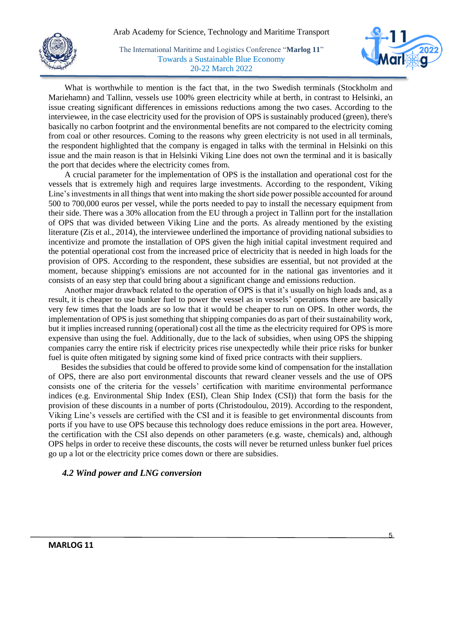



What is worthwhile to mention is the fact that, in the two Swedish terminals (Stockholm and Mariehamn) and Tallinn, vessels use 100% green electricity while at berth, in contrast to Helsinki, an issue creating significant differences in emissions reductions among the two cases. According to the interviewee, in the case electricity used for the provision of OPS is sustainably produced (green), there's basically no carbon footprint and the environmental benefits are not compared to the electricity coming from coal or other resources. Coming to the reasons why green electricity is not used in all terminals, the respondent highlighted that the company is engaged in talks with the terminal in Helsinki on this issue and the main reason is that in Helsinki Viking Line does not own the terminal and it is basically the port that decides where the electricity comes from.

A crucial parameter for the implementation of OPS is the installation and operational cost for the vessels that is extremely high and requires large investments. According to the respondent, Viking Line's investments in all things that went into making the short side power possible accounted for around 500 to 700,000 euros per vessel, while the ports needed to pay to install the necessary equipment from their side. There was a 30% allocation from the EU through a project in Tallinn port for the installation of OPS that was divided between Viking Line and the ports. As already mentioned by the existing literature (Zis et al., 2014), the interviewee underlined the importance of providing national subsidies to incentivize and promote the installation of OPS given the high initial capital investment required and the potential operational cost from the increased price of electricity that is needed in high loads for the provision of OPS. According to the respondent, these subsidies are essential, but not provided at the moment, because shipping's emissions are not accounted for in the national gas inventories and it consists of an easy step that could bring about a significant change and emissions reduction.

Another major drawback related to the operation of OPS is that it's usually on high loads and, as a result, it is cheaper to use bunker fuel to power the vessel as in vessels' operations there are basically very few times that the loads are so low that it would be cheaper to run on OPS. In other words, the implementation of OPS is just something that shipping companies do as part of their sustainability work, but it implies increased running (operational) cost all the time as the electricity required for OPS is more expensive than using the fuel. Additionally, due to the lack of subsidies, when using OPS the shipping companies carry the entire risk if electricity prices rise unexpectedly while their price risks for bunker fuel is quite often mitigated by signing some kind of fixed price contracts with their suppliers.

Besides the subsidies that could be offered to provide some kind of compensation for the installation of OPS, there are also port environmental discounts that reward cleaner vessels and the use of OPS consists one of the criteria for the vessels' certification with maritime environmental performance indices (e.g. Environmental Ship Index (ESI), Clean Ship Index (CSI)) that form the basis for the provision of these discounts in a number of ports (Christodoulou, 2019). According to the respondent, Viking Line's vessels are certified with the CSI and it is feasible to get environmental discounts from ports if you have to use OPS because this technology does reduce emissions in the port area. However, the certification with the CSI also depends on other parameters (e.g. waste, chemicals) and, although OPS helps in order to receive these discounts, the costs will never be returned unless bunker fuel prices go up a lot or the electricity price comes down or there are subsidies.

#### *4.2 Wind power and LNG conversion*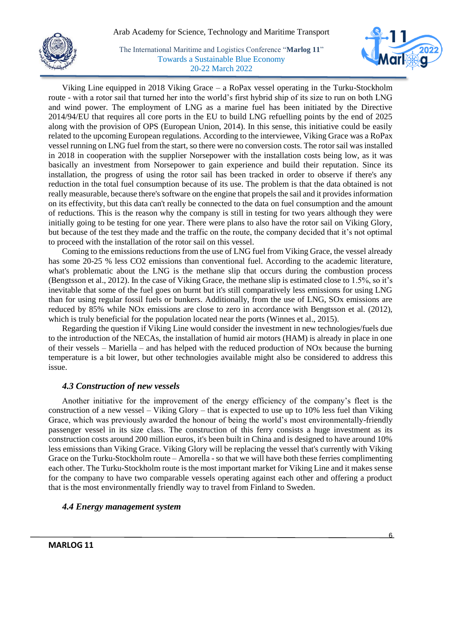



Viking Line equipped in 2018 Viking Grace – a RoPax vessel operating in the Turku-Stockholm route - with a rotor sail that turned her into the world's first hybrid ship of its size to run on both LNG and wind power. The employment of LNG as a marine fuel has been initiated by the Directive 2014/94/EU that requires all core ports in the EU to build LNG refuelling points by the end of 2025 along with the provision of OPS (European Union, 2014). In this sense, this initiative could be easily related to the upcoming European regulations. According to the interviewee, Viking Grace was a RoPax vessel running on LNG fuel from the start, so there were no conversion costs. The rotor sail was installed in 2018 in cooperation with the supplier Norsepower with the installation costs being low, as it was basically an investment from Norsepower to gain experience and build their reputation. Since its installation, the progress of using the rotor sail has been tracked in order to observe if there's any reduction in the total fuel consumption because of its use. The problem is that the data obtained is not really measurable, because there's software on the engine that propels the sail and it provides information on its effectivity, but this data can't really be connected to the data on fuel consumption and the amount of reductions. This is the reason why the company is still in testing for two years although they were initially going to be testing for one year. There were plans to also have the rotor sail on Viking Glory, but because of the test they made and the traffic on the route, the company decided that it's not optimal to proceed with the installation of the rotor sail on this vessel.

Coming to the emissions reductions from the use of LNG fuel from Viking Grace, the vessel already has some 20-25 % less CO2 emissions than conventional fuel. According to the academic literature, what's problematic about the LNG is the methane slip that occurs during the combustion process (Bengtsson et al., 2012). In the case of Viking Grace, the methane slip is estimated close to 1.5%, so it's inevitable that some of the fuel goes on burnt but it's still comparatively less emissions for using LNG than for using regular fossil fuels or bunkers. Additionally, from the use of LNG, SOx emissions are reduced by 85% while NOx emissions are close to zero in accordance with Bengtsson et al. (2012), which is truly beneficial for the population located near the ports (Winnes et al., 2015).

Regarding the question if Viking Line would consider the investment in new technologies/fuels due to the introduction of the NECAs, the installation of humid air motors (HAM) is already in place in one of their vessels – Mariella – and has helped with the reduced production of NOx because the burning temperature is a bit lower, but other technologies available might also be considered to address this issue.

#### *4.3 Construction of new vessels*

Another initiative for the improvement of the energy efficiency of the company's fleet is the construction of a new vessel – Viking Glory – that is expected to use up to 10% less fuel than Viking Grace, which was previously awarded the honour of being the world's most environmentally-friendly passenger vessel in its size class. The construction of this ferry consists a huge investment as its construction costs around 200 million euros, it's been built in China and is designed to have around 10% less emissions than Viking Grace. Viking Glory will be replacing the vessel that's currently with Viking Grace on the Turku-Stockholm route – Amorella - so that we will have both these ferries complimenting each other. The Turku-Stockholm route is the most important market for Viking Line and it makes sense for the company to have two comparable vessels operating against each other and offering a product that is the most environmentally friendly way to travel from Finland to Sweden.

#### *4.4 Energy management system*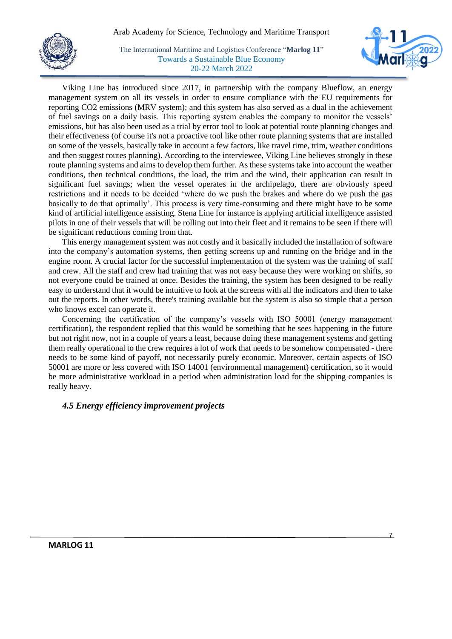#### Arab Academy for Science, Technology and Maritime Transport



The International Maritime and Logistics Conference "**Marlog 11**" Towards a Sustainable Blue Economy 20-22 March 2022



Viking Line has introduced since 2017, in partnership with the company Blueflow, an energy management system on all its vessels in order to ensure compliance with the EU requirements for reporting CO2 emissions (MRV system); and this system has also served as a dual in the achievement of fuel savings on a daily basis. This reporting system enables the company to monitor the vessels' emissions, but has also been used as a trial by error tool to look at potential route planning changes and their effectiveness (of course it's not a proactive tool like other route planning systems that are installed on some of the vessels, basically take in account a few factors, like travel time, trim, weather conditions and then suggest routes planning). According to the interviewee, Viking Line believes strongly in these route planning systems and aims to develop them further. As these systems take into account the weather conditions, then technical conditions, the load, the trim and the wind, their application can result in significant fuel savings; when the vessel operates in the archipelago, there are obviously speed restrictions and it needs to be decided 'where do we push the brakes and where do we push the gas basically to do that optimally'. This process is very time-consuming and there might have to be some kind of artificial intelligence assisting. Stena Line for instance is applying artificial intelligence assisted pilots in one of their vessels that will be rolling out into their fleet and it remains to be seen if there will be significant reductions coming from that.

This energy management system was not costly and it basically included the installation of software into the company's automation systems, then getting screens up and running on the bridge and in the engine room. A crucial factor for the successful implementation of the system was the training of staff and crew. All the staff and crew had training that was not easy because they were working on shifts, so not everyone could be trained at once. Besides the training, the system has been designed to be really easy to understand that it would be intuitive to look at the screens with all the indicators and then to take out the reports. In other words, there's training available but the system is also so simple that a person who knows excel can operate it.

Concerning the certification of the company's vessels with ISO 50001 (energy management certification), the respondent replied that this would be something that he sees happening in the future but not right now, not in a couple of years a least, because doing these management systems and getting them really operational to the crew requires a lot of work that needs to be somehow compensated - there needs to be some kind of payoff, not necessarily purely economic. Moreover, certain aspects of ISO 50001 are more or less covered with ISO 14001 (environmental management) certification, so it would be more administrative workload in a period when administration load for the shipping companies is really heavy.

#### *4.5 Energy efficiency improvement projects*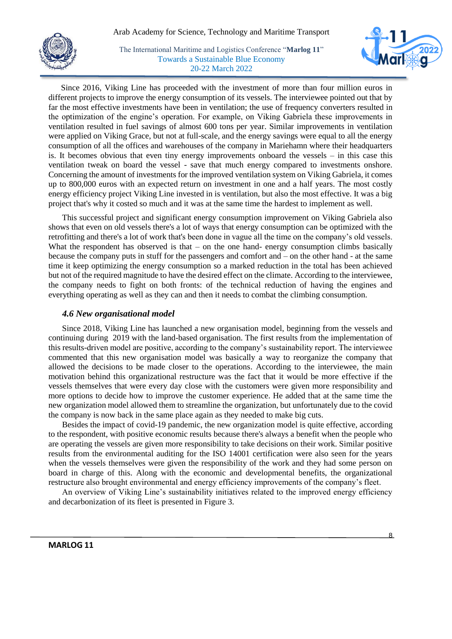



Since 2016, Viking Line has proceeded with the investment of more than four million euros in different projects to improve the energy consumption of its vessels. The interviewee pointed out that by far the most effective investments have been in ventilation; the use of frequency converters resulted in the optimization of the engine's operation. For example, on Viking Gabriela these improvements in ventilation resulted in fuel savings of almost 600 tons per year. Similar improvements in ventilation were applied on Viking Grace, but not at full-scale, and the energy savings were equal to all the energy consumption of all the offices and warehouses of the company in Mariehamn where their headquarters is. It becomes obvious that even tiny energy improvements onboard the vessels – in this case this ventilation tweak on board the vessel - save that much energy compared to investments onshore. Concerning the amount of investments for the improved ventilation system on Viking Gabriela, it comes up to 800,000 euros with an expected return on investment in one and a half years. The most costly energy efficiency project Viking Line invested in is ventilation, but also the most effective. It was a big project that's why it costed so much and it was at the same time the hardest to implement as well.

This successful project and significant energy consumption improvement on Viking Gabriela also shows that even on old vessels there's a lot of ways that energy consumption can be optimized with the retrofitting and there's a lot of work that's been done in vague all the time on the company's old vessels. What the respondent has observed is that  $-$  on the one hand- energy consumption climbs basically because the company puts in stuff for the passengers and comfort and – on the other hand - at the same time it keep optimizing the energy consumption so a marked reduction in the total has been achieved but not of the required magnitude to have the desired effect on the climate. According to the interviewee, the company needs to fight on both fronts: of the technical reduction of having the engines and everything operating as well as they can and then it needs to combat the climbing consumption.

#### *4.6 New organisational model*

Since 2018, Viking Line has launched a new organisation model, beginning from the vessels and continuing during 2019 with the land-based organisation. The first results from the implementation of this results-driven model are positive, according to the company's sustainability report. The interviewee commented that this new organisation model was basically a way to reorganize the company that allowed the decisions to be made closer to the operations. According to the interviewee, the main motivation behind this organizational restructure was the fact that it would be more effective if the vessels themselves that were every day close with the customers were given more responsibility and more options to decide how to improve the customer experience. He added that at the same time the new organization model allowed them to streamline the organization, but unfortunately due to the covid the company is now back in the same place again as they needed to make big cuts.

Besides the impact of covid-19 pandemic, the new organization model is quite effective, according to the respondent, with positive economic results because there's always a benefit when the people who are operating the vessels are given more responsibility to take decisions on their work. Similar positive results from the environmental auditing for the ISO 14001 certification were also seen for the years when the vessels themselves were given the responsibility of the work and they had some person on board in charge of this. Along with the economic and developmental benefits, the organizational restructure also brought environmental and energy efficiency improvements of the company's fleet.

An overview of Viking Line's sustainability initiatives related to the improved energy efficiency and decarbonization of its fleet is presented in Figure 3.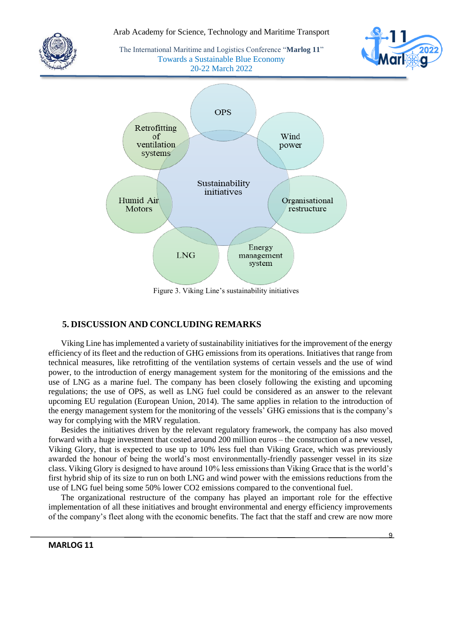

Figure 3. Viking Line's sustainability initiatives

#### **5. DISCUSSION AND CONCLUDING REMARKS**

Viking Line has implemented a variety of sustainability initiatives for the improvement of the energy efficiency of its fleet and the reduction of GHG emissions from its operations. Initiatives that range from technical measures, like retrofitting of the ventilation systems of certain vessels and the use of wind power, to the introduction of energy management system for the monitoring of the emissions and the use of LNG as a marine fuel. The company has been closely following the existing and upcoming regulations; the use of OPS, as well as LNG fuel could be considered as an answer to the relevant upcoming EU regulation (European Union, 2014). The same applies in relation to the introduction of the energy management system for the monitoring of the vessels' GHG emissions that is the company's way for complying with the MRV regulation.

Besides the initiatives driven by the relevant regulatory framework, the company has also moved forward with a huge investment that costed around 200 million euros – the construction of a new vessel, Viking Glory, that is expected to use up to 10% less fuel than Viking Grace, which was previously awarded the honour of being the world's most environmentally-friendly passenger vessel in its size class. Viking Glory is designed to have around 10% less emissions than Viking Grace that is the world's first hybrid ship of its size to run on both LNG and wind power with the emissions reductions from the use of LNG fuel being some 50% lower CO2 emissions compared to the conventional fuel.

The organizational restructure of the company has played an important role for the effective implementation of all these initiatives and brought environmental and energy efficiency improvements of the company's fleet along with the economic benefits. The fact that the staff and crew are now more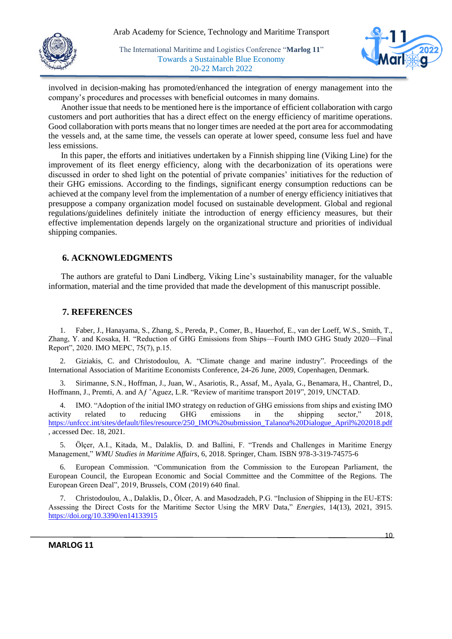



involved in decision-making has promoted/enhanced the integration of energy management into the company's procedures and processes with beneficial outcomes in many domains.

Another issue that needs to be mentioned here is the importance of efficient collaboration with cargo customers and port authorities that has a direct effect on the energy efficiency of maritime operations. Good collaboration with ports means that no longer times are needed at the port area for accommodating the vessels and, at the same time, the vessels can operate at lower speed, consume less fuel and have less emissions.

In this paper, the efforts and initiatives undertaken by a Finnish shipping line (Viking Line) for the improvement of its fleet energy efficiency, along with the decarbonization of its operations were discussed in order to shed light on the potential of private companies' initiatives for the reduction of their GHG emissions. According to the findings, significant energy consumption reductions can be achieved at the company level from the implementation of a number of energy efficiency initiatives that presuppose a company organization model focused on sustainable development. Global and regional regulations/guidelines definitely initiate the introduction of energy efficiency measures, but their effective implementation depends largely on the organizational structure and priorities of individual shipping companies.

#### **6. ACKNOWLEDGMENTS**

The authors are grateful to Dani Lindberg, Viking Line's sustainability manager, for the valuable information, material and the time provided that made the development of this manuscript possible.

#### **7. REFERENCES**

1. Faber, J., Hanayama, S., Zhang, S., Pereda, P., Comer, B., Hauerhof, E., van der Loeff, W.S., Smith, T., Zhang, Y. and Kosaka, H. "Reduction of GHG Emissions from Ships—Fourth IMO GHG Study 2020—Final Report", 2020. IMO MEPC, 75(7), p.15.

2. Giziakis, C. and Christodoulou, A. "Climate change and marine industry". Proceedings of the International Association of Maritime Economists Conference, 24-26 June, 2009, Copenhagen, Denmark.

3. Sirimanne, S.N., Hoffman, J., Juan, W., Asariotis, R., Assaf, M., Ayala, G., Benamara, H., Chantrel, D., Hoffmann, J., Premti, A. and Aƒ ˆAguez, L.R. "Review of maritime transport 2019", 2019, UNCTAD.

4. IMO. "Adoption of the initial IMO strategy on reduction of GHG emissions from ships and existing IMO activity related to reducing GHG emissions in the shipping sector," 2018, [https://unfccc.int/sites/default/files/resource/250\\_IMO%20submission\\_Talanoa%20Dialogue\\_April%202018.pdf](https://unfccc.int/sites/default/files/resource/250_IMO%20submission_Talanoa%20Dialogue_April%202018.pdf) , accessed Dec. 18, 2021.

5. Ölçer, A.I., Kitada, M., Dalaklis, D. and Ballini, F. "Trends and Challenges in Maritime Energy Management," *WMU Studies in Maritime Affairs*, 6, 2018. Springer, Cham. ISBN 978-3-319-74575-6

6. European Commission. "Communication from the Commission to the European Parliament, the European Council, the European Economic and Social Committee and the Committee of the Regions. The European Green Deal", 2019, Brussels, COM (2019) 640 final.

7. Christodoulou, A., Dalaklis, D., Ölcer, A. and Masodzadeh, P.G. "Inclusion of Shipping in the EU-ETS: Assessing the Direct Costs for the Maritime Sector Using the MRV Data," *Energies*, 14(13), 2021, 3915. <https://doi.org/10.3390/en14133915>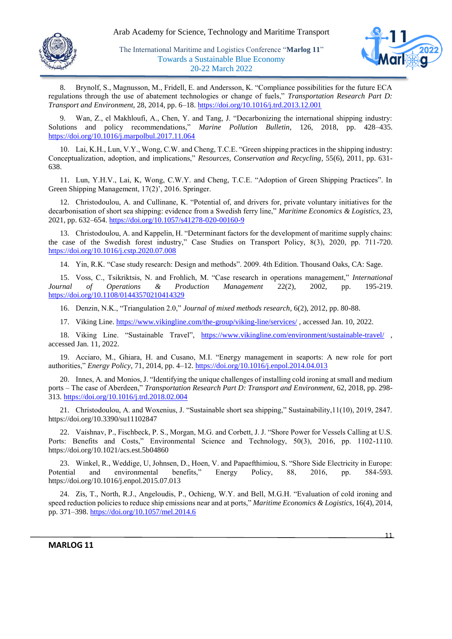



8. Brynolf, S., Magnusson, M., Fridell, E. and Andersson, K. "Compliance possibilities for the future ECA regulations through the use of abatement technologies or change of fuels," *Transportation Research Part D: Transport and Environment*, 28, 2014, pp. 6–18[. https://doi.org/10.1016/j.trd.2013.12.001](https://doi.org/10.1016/j.trd.2013.12.001)

Wan, Z., el Makhloufi, A., Chen, Y. and Tang, J. "Decarbonizing the international shipping industry: Solutions and policy recommendations," *Marine Pollution Bulletin*, 126, 2018, pp. 428–435. <https://doi.org/10.1016/j.marpolbul.2017.11.064>

10. Lai, K.H., Lun, V.Y., Wong, C.W. and Cheng, T.C.E. "Green shipping practices in the shipping industry: Conceptualization, adoption, and implications," *Resources, Conservation and Recycling*, 55(6), 2011, pp. 631- 638.

11. Lun, Y.H.V., Lai, K, Wong, C.W.Y. and Cheng, T.C.E. "Adoption of Green Shipping Practices". In Green Shipping Management, 17(2)', 2016. Springer.

12. Christodoulou, A. and Cullinane, K. "Potential of, and drivers for, private voluntary initiatives for the decarbonisation of short sea shipping: evidence from a Swedish ferry line," *Maritime Economics & Logistics*, 23, 2021, pp. 632–654.<https://doi.org/10.1057/s41278-020-00160-9>

13. Christodoulou, A. and Kappelin, H. "Determinant factors for the development of maritime supply chains: the case of the Swedish forest industry," Case Studies on Transport Policy, 8(3), 2020, pp. 711-720. <https://doi.org/10.1016/j.cstp.2020.07.008>

14. Yin, R.K. "Case study research: Design and methods". 2009. 4th Edition. Thousand Oaks, CA: Sage.

15. Voss, C., Tsikriktsis, N. and Frohlich, M. "Case research in operations management," *International Journal of Operations & Production Management* 22(2), 2002, pp. 195-219. <https://doi.org/10.1108/01443570210414329>

16. Denzin, N.K., "Triangulation 2.0," *Journal of mixed methods research*, 6(2), 2012, pp. 80-88.

17. Viking Line.<https://www.vikingline.com/the-group/viking-line/services/> , accessed Jan. 10, 2022.

18. Viking Line. "Sustainable Travel", <https://www.vikingline.com/environment/sustainable-travel/> , accessed Jan. 11, 2022.

19. Acciaro, M., Ghiara, H. and Cusano, M.I. "Energy management in seaports: A new role for port authorities," *Energy Policy*, 71, 2014, pp. 4–12[. https://doi.org/10.1016/j.enpol.2014.04.013](https://doi.org/10.1016/j.enpol.2014.04.013)

20. Innes, A. and Monios, J. "Identifying the unique challenges of installing cold ironing at small and medium ports – The case of Aberdeen," *Transportation Research Part D: Transport and Environment*, 62, 2018, pp. 298- 313.<https://doi.org/10.1016/j.trd.2018.02.004>

21. Christodoulou, A. and Woxenius, J. "Sustainable short sea shipping," Sustainability,11(10), 2019, 2847. https://doi.org/10.3390/su11102847

22. Vaishnav, P., Fischbeck, P. S., Morgan, M.G. and Corbett, J. J. "Shore Power for Vessels Calling at U.S. Ports: Benefits and Costs," Environmental Science and Technology, 50(3), 2016, pp. 1102-1110. https://doi.org/10.1021/acs.est.5b04860

23. Winkel, R., Weddige, U, Johnsen, D., Hoen, V. and Papaefthimiou, S. "Shore Side Electricity in Europe: Potential and environmental benefits," Energy Policy, 88, 2016, pp. 584-593. https://doi.org/10.1016/j.enpol.2015.07.013

24. Zis, T., North, R.J., Angeloudis, P., Ochieng, W.Y. and Bell, M.G.H. "Evaluation of cold ironing and speed reduction policies to reduce ship emissions near and at ports," *Maritime Economics & Logistics*, 16(4), 2014, pp. 371–398.<https://doi.org/10.1057/mel.2014.6>